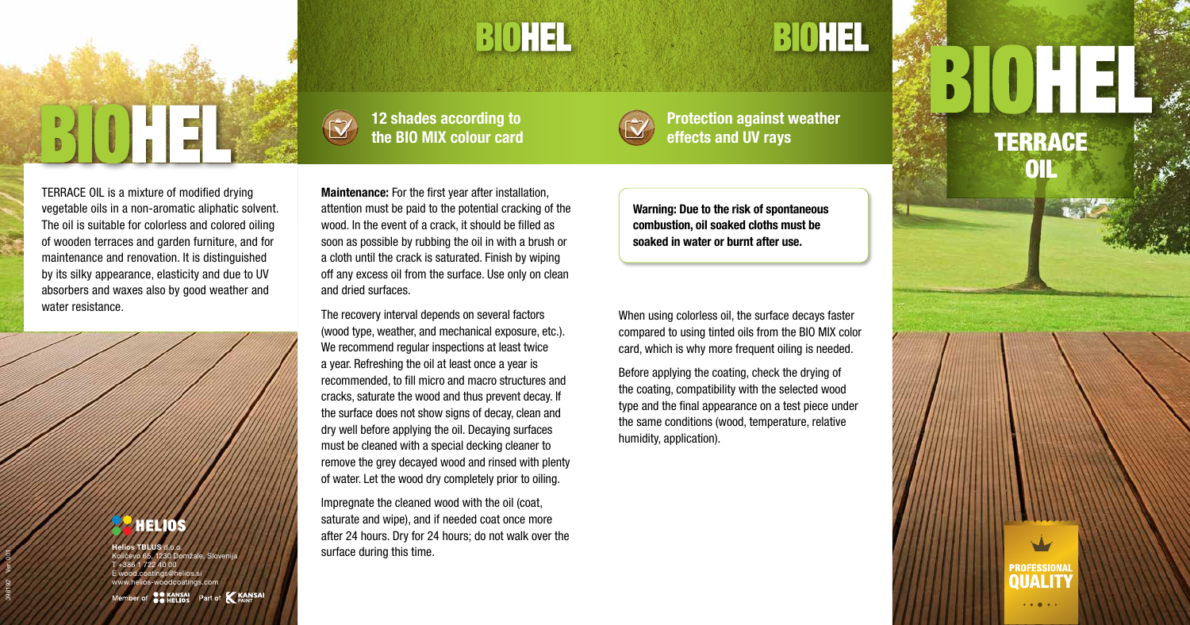

# BOHEL

# 12 shades according to the BIO MIX colour card

Protection against weather effects and UV rays TERRACE



BIOHEL

TERRACE OIL is a mixture of modified drying vegetable oils in a non-aromatic aliphatic solvent. The oil is suitable for colorless and colored oiling of wooden terraces and garden furniture, and for maintenance and renovation. It is distinguished by its silky appearance, elasticity and due to UV absorbers and waxes also by good weather and water resistance.

# **PARELIOS**

Maintenance: For the first year after installation, attention must be paid to the potential cracking of the wood. In the event of a crack, it should be filled as soon as possible by rubbing the oil in with a brush or a cloth until the crack is saturated. Finish by wiping off any excess oil from the surface. Use only on clean and dried surfaces.

The recovery interval depends on several factors (wood type, weather, and mechanical exposure, etc.). We recommend regular inspections at least twice a year. Refreshing the oil at least once a year is recommended, to fill micro and macro structures and cracks, saturate the wood and thus prevent decay. If the surface does not show signs of decay, clean and dry well before applying the oil. Decaying surfaces must be cleaned with a special decking cleaner to remove the grey decayed wood and rinsed with plenty of water. Let the wood dry completely prior to oiling.

Impregnate the cleaned wood with the oil (coat, saturate and wipe), and if needed coat once more after 24 hours. Dry for 24 hours; do not walk over the surface during this time.

Warning: Due to the risk of spontaneous combustion, oil soaked cloths must be soaked in water or burnt after use.

398192 Ver. 001

When using colorless oil, the surface decays faster compared to using tinted oils from the BIO MIX color card, which is why more frequent oiling is needed.

Before applying the coating, check the drying of the coating, compatibility with the selected wood type and the final appearance on a test piece under the same conditions (wood, temperature, relative humidity, application).

# **OIL**



 $\cdots$ 

Helios TBLUS d.o.o. 65, 1230 Domžale, Sloveni  $7224000$ E wood.coatings@helios.si www.helios-woodcoatings.com

Part of **KANSAI OO KANSAL**